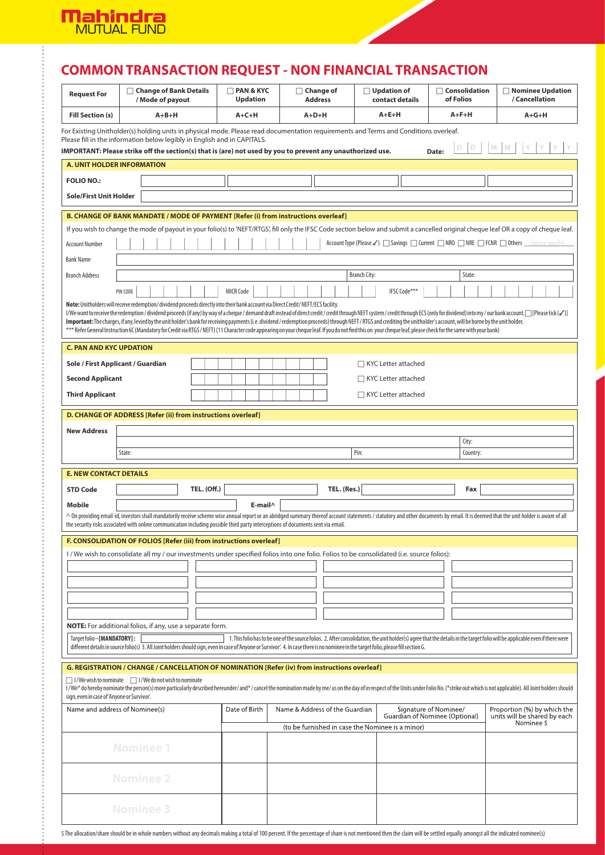

# **COMMON TRANSACTION REQUEST - NON FINANCIAL TRANSACTION**

|                                                                                                                                                                                                                                                                                                                                                                                                                                                           | $\Box$ Change of Bank Details<br>/ Mode of payout                                                                                    |                  |  |  |                    | $\Box$ PAN & KYC<br><b>Updation</b> |                  |         |  | $\Box$ Change of<br><b>Address</b> |  |                                | $\Box$ Updation of<br>contact details |  | $\Box$ Consolidation<br>of Folios                                                  |  | □ Nominee Updation<br>/ Cancellation                                                                                                                                          |                              |            |  |
|-----------------------------------------------------------------------------------------------------------------------------------------------------------------------------------------------------------------------------------------------------------------------------------------------------------------------------------------------------------------------------------------------------------------------------------------------------------|--------------------------------------------------------------------------------------------------------------------------------------|------------------|--|--|--------------------|-------------------------------------|------------------|---------|--|------------------------------------|--|--------------------------------|---------------------------------------|--|------------------------------------------------------------------------------------|--|-------------------------------------------------------------------------------------------------------------------------------------------------------------------------------|------------------------------|------------|--|
| <b>Fill Section (s)</b>                                                                                                                                                                                                                                                                                                                                                                                                                                   |                                                                                                                                      | $A+B+H$          |  |  |                    | $A + C + H$                         |                  |         |  | $A+D+H$                            |  |                                | $A + E + H$                           |  | $A + F + H$                                                                        |  | $A + G + H$                                                                                                                                                                   |                              |            |  |
|                                                                                                                                                                                                                                                                                                                                                                                                                                                           | For Existing Unitholder(s) holding units in physical mode. Please read documentation requirements and Terms and Conditions overleaf. |                  |  |  |                    |                                     |                  |         |  |                                    |  |                                |                                       |  |                                                                                    |  |                                                                                                                                                                               |                              |            |  |
| Please fill in the information below legibly in English and in CAPITALS.<br>M<br>IMPORTANT: Please strike off the section(s) that is (are) not used by you to prevent any unauthorized use.<br>Date:                                                                                                                                                                                                                                                      |                                                                                                                                      |                  |  |  |                    |                                     |                  |         |  |                                    |  |                                |                                       |  |                                                                                    |  |                                                                                                                                                                               |                              |            |  |
| <b>A. UNIT HOLDER INFORMATION</b>                                                                                                                                                                                                                                                                                                                                                                                                                         |                                                                                                                                      |                  |  |  |                    |                                     |                  |         |  |                                    |  |                                |                                       |  |                                                                                    |  |                                                                                                                                                                               |                              |            |  |
| <b>FOLIO NO.:</b>                                                                                                                                                                                                                                                                                                                                                                                                                                         |                                                                                                                                      |                  |  |  |                    |                                     |                  |         |  |                                    |  |                                |                                       |  |                                                                                    |  |                                                                                                                                                                               |                              |            |  |
| <b>Sole/First Unit Holder</b>                                                                                                                                                                                                                                                                                                                                                                                                                             |                                                                                                                                      |                  |  |  |                    |                                     |                  |         |  |                                    |  |                                |                                       |  |                                                                                    |  |                                                                                                                                                                               |                              |            |  |
|                                                                                                                                                                                                                                                                                                                                                                                                                                                           |                                                                                                                                      |                  |  |  |                    |                                     |                  |         |  |                                    |  |                                |                                       |  |                                                                                    |  |                                                                                                                                                                               |                              |            |  |
| B. CHANGE OF BANK MANDATE / MODE OF PAYMENT [Refer (i) from instructions overleaf]<br>If you wish to change the mode of payout in your folio(s) to 'NEFT/RTGS', fill only the IFSC Code section below and submit a cancelled original cheque leaf OR a copy of cheque leaf.                                                                                                                                                                               |                                                                                                                                      |                  |  |  |                    |                                     |                  |         |  |                                    |  |                                |                                       |  |                                                                                    |  |                                                                                                                                                                               |                              |            |  |
| <b>Account Number</b>                                                                                                                                                                                                                                                                                                                                                                                                                                     | Account Type (Please ✓) savings nurrent nNRO nNRE nFCNR nothers logicase specify)                                                    |                  |  |  |                    |                                     |                  |         |  |                                    |  |                                |                                       |  |                                                                                    |  |                                                                                                                                                                               |                              |            |  |
| <b>Bank Name</b>                                                                                                                                                                                                                                                                                                                                                                                                                                          |                                                                                                                                      |                  |  |  |                    |                                     |                  |         |  |                                    |  |                                |                                       |  |                                                                                    |  |                                                                                                                                                                               |                              |            |  |
| <b>Branch Address</b>                                                                                                                                                                                                                                                                                                                                                                                                                                     |                                                                                                                                      |                  |  |  |                    |                                     |                  |         |  |                                    |  |                                | <b>Branch City:</b>                   |  |                                                                                    |  | State:                                                                                                                                                                        |                              |            |  |
|                                                                                                                                                                                                                                                                                                                                                                                                                                                           | PIN CODE                                                                                                                             |                  |  |  |                    |                                     | <b>MICR Code</b> |         |  |                                    |  |                                |                                       |  | <b>IFSC Code</b> ***                                                               |  |                                                                                                                                                                               |                              |            |  |
| Note: Unitholders will receive redemption/dividend proceeds directly into their bank account via Direct Credit/NEFT/ECS facility.                                                                                                                                                                                                                                                                                                                         |                                                                                                                                      |                  |  |  |                    |                                     |                  |         |  |                                    |  |                                |                                       |  |                                                                                    |  |                                                                                                                                                                               |                              |            |  |
| I/We want to receive the redemption/dividend proceeds (if any) by way of a cheque/demand draft instead of direct credit / credit through NEFT system/credit through ECS (only for dividend) into my/our bank account. [[Please<br>Important: The charges, if any, levied by the unit holder's bank for receiving payments (i.e. dividend/redemption proceeds) through NEFT/RTGS and crediting the unitholder's account, will be borne by the unit holder. |                                                                                                                                      |                  |  |  |                    |                                     |                  |         |  |                                    |  |                                |                                       |  |                                                                                    |  |                                                                                                                                                                               |                              |            |  |
| *** Refer General Instruction 6C (Mandatory for Credit via RTGS / NEFT) (11 Character code appearing on your cheque leaf. If you do not find this on your cheque leaf, please check for the same with your bank)                                                                                                                                                                                                                                          |                                                                                                                                      |                  |  |  |                    |                                     |                  |         |  |                                    |  |                                |                                       |  |                                                                                    |  |                                                                                                                                                                               |                              |            |  |
| <b>C. PAN AND KYC UPDATION</b>                                                                                                                                                                                                                                                                                                                                                                                                                            |                                                                                                                                      |                  |  |  |                    |                                     |                  |         |  |                                    |  |                                |                                       |  |                                                                                    |  |                                                                                                                                                                               |                              |            |  |
| Sole / First Applicant / Guardian                                                                                                                                                                                                                                                                                                                                                                                                                         |                                                                                                                                      |                  |  |  |                    |                                     |                  |         |  |                                    |  |                                |                                       |  | $\Box$ KYC Letter attached                                                         |  |                                                                                                                                                                               |                              |            |  |
| <b>Second Applicant</b>                                                                                                                                                                                                                                                                                                                                                                                                                                   |                                                                                                                                      |                  |  |  |                    |                                     |                  |         |  |                                    |  |                                |                                       |  | $\Box$ KYC Letter attached                                                         |  |                                                                                                                                                                               |                              |            |  |
| <b>Third Applicant</b>                                                                                                                                                                                                                                                                                                                                                                                                                                    |                                                                                                                                      |                  |  |  |                    |                                     |                  |         |  |                                    |  |                                |                                       |  | $\Box$ KYC Letter attached                                                         |  |                                                                                                                                                                               |                              |            |  |
| D. CHANGE OF ADDRESS [Refer (ii) from instructions overleaf]                                                                                                                                                                                                                                                                                                                                                                                              |                                                                                                                                      |                  |  |  |                    |                                     |                  |         |  |                                    |  |                                |                                       |  |                                                                                    |  |                                                                                                                                                                               |                              |            |  |
| <b>New Address</b>                                                                                                                                                                                                                                                                                                                                                                                                                                        |                                                                                                                                      |                  |  |  |                    |                                     |                  |         |  |                                    |  |                                |                                       |  |                                                                                    |  |                                                                                                                                                                               |                              |            |  |
|                                                                                                                                                                                                                                                                                                                                                                                                                                                           |                                                                                                                                      |                  |  |  |                    |                                     |                  |         |  |                                    |  |                                |                                       |  |                                                                                    |  | City:                                                                                                                                                                         |                              |            |  |
|                                                                                                                                                                                                                                                                                                                                                                                                                                                           | State:                                                                                                                               |                  |  |  |                    |                                     |                  |         |  |                                    |  |                                | Pin:                                  |  |                                                                                    |  | Country:                                                                                                                                                                      |                              |            |  |
| <b>E. NEW CONTACT DETAILS</b>                                                                                                                                                                                                                                                                                                                                                                                                                             |                                                                                                                                      |                  |  |  |                    |                                     |                  |         |  |                                    |  |                                |                                       |  |                                                                                    |  |                                                                                                                                                                               |                              |            |  |
|                                                                                                                                                                                                                                                                                                                                                                                                                                                           |                                                                                                                                      |                  |  |  |                    |                                     |                  |         |  |                                    |  |                                |                                       |  |                                                                                    |  |                                                                                                                                                                               |                              |            |  |
| <b>STD Code</b>                                                                                                                                                                                                                                                                                                                                                                                                                                           |                                                                                                                                      |                  |  |  | <b>TEL. (Off.)</b> |                                     |                  |         |  |                                    |  | TEL. (Res.)                    |                                       |  |                                                                                    |  | Fax                                                                                                                                                                           |                              |            |  |
| Mobile                                                                                                                                                                                                                                                                                                                                                                                                                                                    |                                                                                                                                      |                  |  |  |                    |                                     |                  | E-mail^ |  |                                    |  |                                |                                       |  |                                                                                    |  |                                                                                                                                                                               |                              |            |  |
| ^ On providing email-id, investors shall mandatorily receive scheme wise annual report or an abridged summary thereof account statements / statutory and other documents by email. It is deemed that the unit holder is aware<br>the security risks associated with online communication including possible third party interceptions of documents sent via email.                                                                                        |                                                                                                                                      |                  |  |  |                    |                                     |                  |         |  |                                    |  |                                |                                       |  |                                                                                    |  |                                                                                                                                                                               |                              |            |  |
| F. CONSOLIDATION OF FOLIOS [Refer (iii) from instructions overleaf]                                                                                                                                                                                                                                                                                                                                                                                       |                                                                                                                                      |                  |  |  |                    |                                     |                  |         |  |                                    |  |                                |                                       |  |                                                                                    |  |                                                                                                                                                                               |                              |            |  |
| I/We wish to consolidate all my/our investments under specified folios into one folio. Folios to be consolidated (i.e. source folios):                                                                                                                                                                                                                                                                                                                    |                                                                                                                                      |                  |  |  |                    |                                     |                  |         |  |                                    |  |                                |                                       |  |                                                                                    |  |                                                                                                                                                                               |                              |            |  |
|                                                                                                                                                                                                                                                                                                                                                                                                                                                           |                                                                                                                                      |                  |  |  |                    |                                     |                  |         |  |                                    |  |                                |                                       |  |                                                                                    |  |                                                                                                                                                                               |                              |            |  |
|                                                                                                                                                                                                                                                                                                                                                                                                                                                           |                                                                                                                                      |                  |  |  |                    |                                     |                  |         |  |                                    |  |                                |                                       |  |                                                                                    |  |                                                                                                                                                                               |                              |            |  |
|                                                                                                                                                                                                                                                                                                                                                                                                                                                           |                                                                                                                                      |                  |  |  |                    |                                     |                  |         |  |                                    |  |                                |                                       |  |                                                                                    |  |                                                                                                                                                                               |                              |            |  |
|                                                                                                                                                                                                                                                                                                                                                                                                                                                           |                                                                                                                                      |                  |  |  |                    |                                     |                  |         |  |                                    |  |                                |                                       |  |                                                                                    |  |                                                                                                                                                                               |                              |            |  |
| <b>NOTE:</b> For additional folios, if any, use a separate form.                                                                                                                                                                                                                                                                                                                                                                                          |                                                                                                                                      |                  |  |  |                    |                                     |                  |         |  |                                    |  |                                |                                       |  |                                                                                    |  |                                                                                                                                                                               |                              |            |  |
| Target folio~[MANDATORY]:<br>different details in source folio(s) 3. All Joint holders should sign, even in case of Anyone or Survivor. 4. In case there is no nominee in the target folio, please fill section G.                                                                                                                                                                                                                                        |                                                                                                                                      |                  |  |  |                    |                                     |                  |         |  |                                    |  |                                |                                       |  |                                                                                    |  | 1. This folio has to be one of the source folios. 2. After consolidation, the unit holder(s) agree that the details in the target folio will be applicable even if there were |                              |            |  |
|                                                                                                                                                                                                                                                                                                                                                                                                                                                           |                                                                                                                                      |                  |  |  |                    |                                     |                  |         |  |                                    |  |                                |                                       |  |                                                                                    |  |                                                                                                                                                                               |                              |            |  |
| G. REGISTRATION / CHANGE / CANCELLATION OF NOMINATION [Refer (iv) from instructions overleaf]                                                                                                                                                                                                                                                                                                                                                             |                                                                                                                                      |                  |  |  |                    |                                     |                  |         |  |                                    |  |                                |                                       |  |                                                                                    |  |                                                                                                                                                                               |                              |            |  |
| $\Box$ I/We wish to nominate $\Box$ I/We do not wish to nominate<br>l/We* do hereby nominate the person(s) more particularly described hereunder/and*/cancel the nomination made by me/us on the day of in respect of the Units under Folio No. (*strike out which is not applicable). All Joint h<br>sign, even in case of 'Anyone or Survivor'.                                                                                                         |                                                                                                                                      |                  |  |  |                    |                                     |                  |         |  |                                    |  |                                |                                       |  |                                                                                    |  |                                                                                                                                                                               |                              |            |  |
| Name and address of Nominee(s)                                                                                                                                                                                                                                                                                                                                                                                                                            |                                                                                                                                      |                  |  |  |                    |                                     | Date of Birth    |         |  |                                    |  | Name & Address of the Guardian |                                       |  | Signature of Nominee/                                                              |  |                                                                                                                                                                               | Proportion (%) by which the  |            |  |
|                                                                                                                                                                                                                                                                                                                                                                                                                                                           |                                                                                                                                      |                  |  |  |                    |                                     |                  |         |  |                                    |  |                                |                                       |  | Guardian of Nominee (Optional)<br>(to be furnished in case the Nominee is a minor) |  |                                                                                                                                                                               | units will be shared by each | Nominee \$ |  |
|                                                                                                                                                                                                                                                                                                                                                                                                                                                           |                                                                                                                                      |                  |  |  |                    |                                     |                  |         |  |                                    |  |                                |                                       |  |                                                                                    |  |                                                                                                                                                                               |                              |            |  |
|                                                                                                                                                                                                                                                                                                                                                                                                                                                           |                                                                                                                                      | <b>Nominee 1</b> |  |  |                    |                                     |                  |         |  |                                    |  |                                |                                       |  |                                                                                    |  |                                                                                                                                                                               |                              |            |  |
|                                                                                                                                                                                                                                                                                                                                                                                                                                                           |                                                                                                                                      |                  |  |  |                    |                                     |                  |         |  |                                    |  |                                |                                       |  |                                                                                    |  |                                                                                                                                                                               |                              |            |  |
|                                                                                                                                                                                                                                                                                                                                                                                                                                                           |                                                                                                                                      | <b>Nominee 2</b> |  |  |                    |                                     |                  |         |  |                                    |  |                                |                                       |  |                                                                                    |  |                                                                                                                                                                               |                              |            |  |
|                                                                                                                                                                                                                                                                                                                                                                                                                                                           |                                                                                                                                      | <b>Nominee 3</b> |  |  |                    |                                     |                  |         |  |                                    |  |                                |                                       |  |                                                                                    |  |                                                                                                                                                                               |                              |            |  |